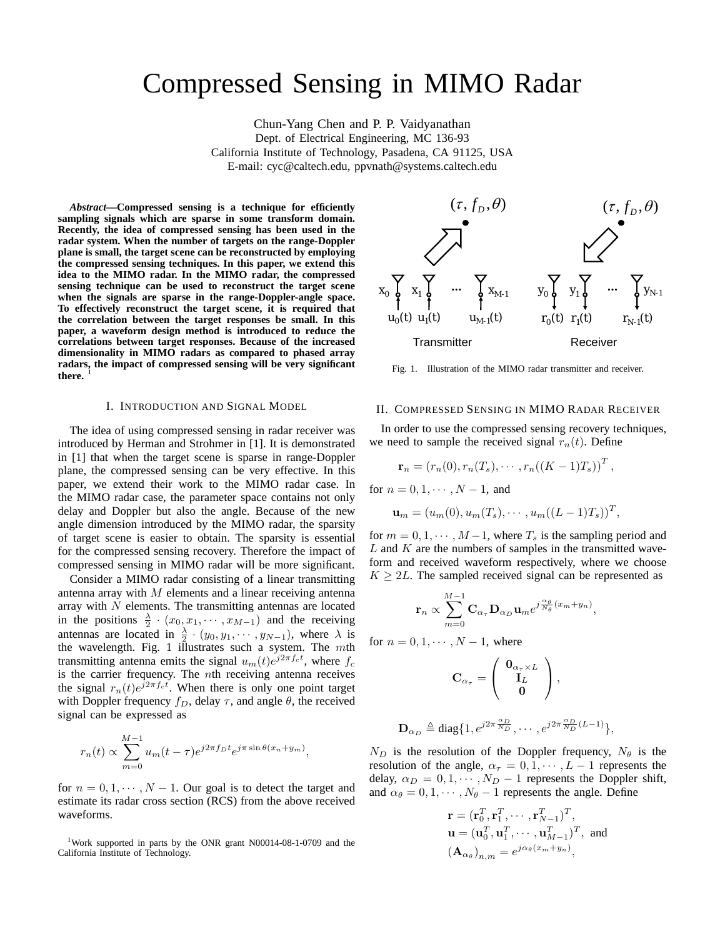# Compressed Sensing in MIMO Radar

Chun-Yang Chen and P. P. Vaidyanathan Dept. of Electrical Engineering, MC 136-93 California Institute of Technology, Pasadena, CA 91125, USA E-mail: cyc@caltech.edu, ppvnath@systems.caltech.edu

*Abstract***—Compressed sensing is a technique for efficiently sampling signals which are sparse in some transform domain. Recently, the idea of compressed sensing has been used in the radar system. When the number of targets on the range-Doppler plane is small, the target scene can be reconstructed by employing the compressed sensing techniques. In this paper, we extend this idea to the MIMO radar. In the MIMO radar, the compressed sensing technique can be used to reconstruct the target scene when the signals are sparse in the range-Doppler-angle space. To effectively reconstruct the target scene, it is required that the correlation between the target responses be small. In this paper, a waveform design method is introduced to reduce the correlations between target responses. Because of the increased dimensionality in MIMO radars as compared to phased array radars, the impact of compressed sensing will be very significant** there.

#### I. INTRODUCTION AND SIGNAL MODEL

The idea of using compressed sensing in radar receiver was introduced by Herman and Strohmer in [1]. It is demonstrated in [1] that when the target scene is sparse in range-Doppler plane, the compressed sensing can be very effective. In this paper, we extend their work to the MIMO radar case. In the MIMO radar case, the parameter space contains not only delay and Doppler but also the angle. Because of the new angle dimension introduced by the MIMO radar, the sparsity of target scene is easier to obtain. The sparsity is essential for the compressed sensing recovery. Therefore the impact of compressed sensing in MIMO radar will be more significant.

Consider a MIMO radar consisting of a linear transmitting antenna array with  $M$  elements and a linear receiving antenna array with  $N$  elements. The transmitting antennas are located in the positions  $\frac{\lambda}{2} \cdot (x_0, x_1, \cdots, x_{M-1})$  and the receiving antennas are located in  $\frac{\lambda}{2} \cdot (y_0, y_1, \dots, y_{N-1})$ , where  $\lambda$  is the wavelength. Fig. 1 illustrates such a system. The  $m$ th transmitting antenna emits the signal  $u_m(t)e^{j2\pi f_c t}$ , where  $f_c$ is the carrier frequency. The nth receiving antenna receives the signal  $r_n(t)e^{j2\pi f_c t}$ . When there is only one point target with Doppler frequency  $f_D$ , delay  $\tau$ , and angle  $\theta$ , the received signal can be expressed as

$$
r_n(t) \propto \sum_{m=0}^{M-1} u_m(t-\tau) e^{j2\pi f_D t} e^{j\pi \sin \theta (x_n+y_m)},
$$

for  $n = 0, 1, \dots, N - 1$ . Our goal is to detect the target and estimate its radar cross section (RCS) from the above received waveforms.

1Work supported in parts by the ONR grant N00014-08-1-0709 and the California Institute of Technology.



Fig. 1. Illustration of the MIMO radar transmitter and receiver.

## II. COMPRESSED SENSING IN MIMO RADAR RECEIVER

In order to use the compressed sensing recovery techniques, we need to sample the received signal  $r_n(t)$ . Define

$$
\mathbf{r}_n = (r_n(0), r_n(T_s), \cdots, r_n((K-1)T_s))^T,
$$

for  $n = 0, 1, \cdots, N - 1$ , and

$$
\mathbf{u}_m = (u_m(0), u_m(T_s), \cdots, u_m((L-1)T_s))^T,
$$

for  $m = 0, 1, \dots, M-1$ , where  $T_s$  is the sampling period and  $L$  and  $K$  are the numbers of samples in the transmitted waveform and received waveform respectively, where we choose  $K \geq 2L$ . The sampled received signal can be represented as

$$
\mathbf{r}_n \propto \sum_{m=0}^{M-1} \mathbf{C}_{\alpha_{\tau}} \mathbf{D}_{\alpha_D} \mathbf{u}_m e^{j \frac{\alpha_{\theta}}{N_{\theta}} (x_m + y_n)},
$$

for  $n = 0, 1, \cdots, N-1$ , where

$$
\mathbf{C}_{\alpha_{\tau}} = \left(\begin{array}{c} \mathbf{0}_{\alpha_{\tau} \times L} \\ \mathbf{I}_L \\ \mathbf{0} \end{array}\right),
$$

$$
\mathbf{D}_{\alpha_D} \triangleq \text{diag}\{1, e^{j2\pi \frac{\alpha_D}{N_D}}, \cdots, e^{j2\pi \frac{\alpha_D}{N_D}(L-1)}\},
$$

 $N_D$  is the resolution of the Doppler frequency,  $N_{\theta}$  is the resolution of the angle,  $\alpha_{\tau} = 0, 1, \cdots, L-1$  represents the delay,  $\alpha_D = 0, 1, \cdots, N_D - 1$  represents the Doppler shift, and  $\alpha_{\theta} = 0, 1, \cdots, N_{\theta} - 1$  represents the angle. Define

$$
\mathbf{r} = (\mathbf{r}_0^T, \mathbf{r}_1^T, \cdots, \mathbf{r}_{N-1}^T)^T,
$$
  
\n
$$
\mathbf{u} = (\mathbf{u}_0^T, \mathbf{u}_1^T, \cdots, \mathbf{u}_{M-1}^T)^T, \text{ and}
$$
  
\n
$$
(\mathbf{A}_{\alpha_\theta})_{n,m} = e^{j\alpha_\theta(x_m + y_n)},
$$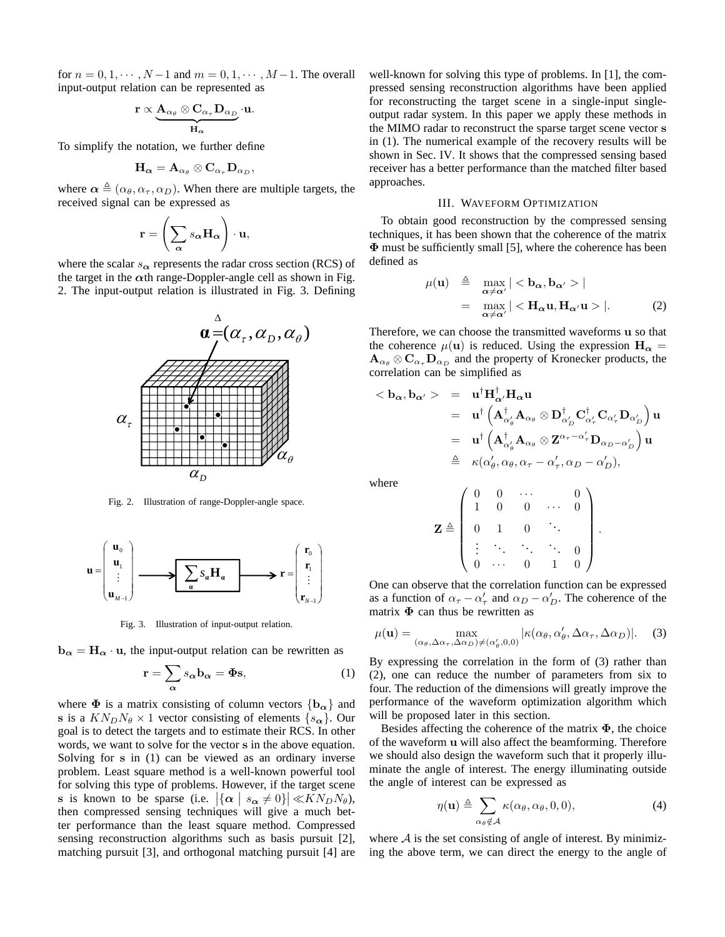for  $n = 0, 1, \dots, N-1$  and  $m = 0, 1, \dots, M-1$ . The overall input-output relation can be represented as

$$
\mathbf{r} \propto \underbrace{\mathbf{A}_{\alpha_\theta} \otimes \mathbf{C}_{\alpha_\tau} \mathbf{D}_{\alpha_D}}_{\mathbf{H}_\alpha} \cdot \mathbf{u}.
$$

To simplify the notation, we further define

$$
\mathbf{H}_{\boldsymbol{\alpha}}=\mathbf{A}_{\alpha_\theta}\otimes \mathbf{C}_{\alpha_\tau}\mathbf{D}_{\alpha_D},
$$

where  $\alpha \triangleq (\alpha_{\theta}, \alpha_{\tau}, \alpha_{D})$ . When there are multiple targets, the received signal can be expressed as

$$
\mathbf{r} = \left(\sum_{\alpha} s_{\alpha} \mathbf{H}_{\alpha}\right) \cdot \mathbf{u},
$$

where the scalar  $s_{\alpha}$  represents the radar cross section (RCS) of the target in the  $\alpha$ th range-Doppler-angle cell as shown in Fig. 2. The input-output relation is illustrated in Fig. 3. Defining



Fig. 2. Illustration of range-Doppler-angle space.



Fig. 3. Illustration of input-output relation.

**, the input-output relation can be rewritten as** 

$$
\mathbf{r} = \sum_{\alpha} s_{\alpha} \mathbf{b}_{\alpha} = \mathbf{\Phi} \mathbf{s},\tag{1}
$$

where  $\Phi$  is a matrix consisting of column vectors  $\{b_{\alpha}\}\$  and **s** is a  $KN_DN_\theta \times 1$  vector consisting of elements  $\{s_\alpha\}$ . Our goal is to detect the targets and to estimate their RCS. In other words, we want to solve for the vector **s** in the above equation. Solving for **s** in (1) can be viewed as an ordinary inverse problem. Least square method is a well-known powerful tool for solving this type of problems. However, if the target scene **s** is known to be sparse (i.e.  $|\{\alpha \mid s_{\alpha} \neq 0\}| \ll KN_DN_{\theta}$ ), then compressed sensing techniques will give a much better performance than the least square method. Compressed sensing reconstruction algorithms such as basis pursuit [2], matching pursuit [3], and orthogonal matching pursuit [4] are well-known for solving this type of problems. In [1], the compressed sensing reconstruction algorithms have been applied for reconstructing the target scene in a single-input singleoutput radar system. In this paper we apply these methods in the MIMO radar to reconstruct the sparse target scene vector **s** in (1). The numerical example of the recovery results will be shown in Sec. IV. It shows that the compressed sensing based receiver has a better performance than the matched filter based approaches.

### III. WAVEFORM OPTIMIZATION

To obtain good reconstruction by the compressed sensing techniques, it has been shown that the coherence of the matrix **Φ** must be sufficiently small [5], where the coherence has been defined as

$$
\mu(\mathbf{u}) \triangleq \max_{\substack{\alpha \neq \alpha' \\ \alpha \neq \alpha'}} | < \mathbf{b}_{\alpha}, \mathbf{b}_{\alpha'} > |
$$
\n
$$
= \max_{\substack{\alpha \neq \alpha' \\ \alpha \neq \alpha'}} | < \mathbf{H}_{\alpha} \mathbf{u}, \mathbf{H}_{\alpha'} \mathbf{u} > |. \tag{2}
$$

Therefore, we can choose the transmitted waveforms **u** so that the coherence  $\mu(\mathbf{u})$  is reduced. Using the expression  $\mathbf{H}_{\alpha} =$  $\mathbf{A}_{\alpha_{\theta}} \otimes \mathbf{C}_{\alpha_{\tau}} \mathbf{D}_{\alpha_{D}}$  and the property of Kronecker products, the correlation can be simplified as

$$
\begin{array}{rcl} <\bold{b}_\alpha, \bold{b}_{\alpha'}> & = & \bold{u}^\dagger \bold{H}^\dagger_{\alpha'} \bold{H}_\alpha \bold{u} \\ & = & \bold{u}^\dagger \left( \bold{A}^\dagger_{\alpha'_\theta} \bold{A}_{\alpha_\theta} \otimes \bold{D}^\dagger_{\alpha'_D} \bold{C}^\dagger_{\alpha'_\tau} \bold{C}_{\alpha'_\tau} \bold{D}_{\alpha'_D} \right) \bold{u} \\ & = & \bold{u}^\dagger \left( \bold{A}^\dagger_{\alpha'_\theta} \bold{A}_{\alpha_\theta} \otimes \bold{Z}^{\alpha_\tau - \alpha'_\tau} \bold{D}_{\alpha_D - \alpha'_D} \right) \bold{u} \\ & \triangleq & \kappa (\alpha'_\theta, \alpha_\theta, \alpha_\tau - \alpha'_\tau, \alpha_D - \alpha'_D), \end{array}
$$

where

$$
\mathbf{Z} \triangleq \left( \begin{array}{cccccc} 0 & 0 & \cdots & & 0 \\ 1 & 0 & 0 & \cdots & 0 \\ 0 & 1 & 0 & \ddots & \\ \vdots & \ddots & \ddots & \ddots & 0 \\ 0 & \cdots & 0 & 1 & 0 \end{array} \right).
$$

One can observe that the correlation function can be expressed as a function of  $\alpha_{\tau} - \alpha'_{\tau}$  and  $\alpha_{D} - \alpha'_{D}$ . The coherence of the matrix  $\Phi$  can thus be rewritten as

$$
\mu(\mathbf{u}) = \max_{(\alpha_{\theta}, \Delta\alpha_{\tau}, \Delta\alpha_{D}) \neq (\alpha_{\theta}', 0, 0)} |\kappa(\alpha_{\theta}, \alpha_{\theta}', \Delta\alpha_{\tau}, \Delta\alpha_{D})|.
$$
 (3)

By expressing the correlation in the form of (3) rather than (2), one can reduce the number of parameters from six to four. The reduction of the dimensions will greatly improve the performance of the waveform optimization algorithm which will be proposed later in this section.

Besides affecting the coherence of the matrix **Φ**, the choice of the waveform **u** will also affect the beamforming. Therefore we should also design the waveform such that it properly illuminate the angle of interest. The energy illuminating outside the angle of interest can be expressed as

$$
\eta(\mathbf{u}) \triangleq \sum_{\alpha_{\theta} \notin \mathcal{A}} \kappa(\alpha_{\theta}, \alpha_{\theta}, 0, 0), \tag{4}
$$

where  $A$  is the set consisting of angle of interest. By minimizing the above term, we can direct the energy to the angle of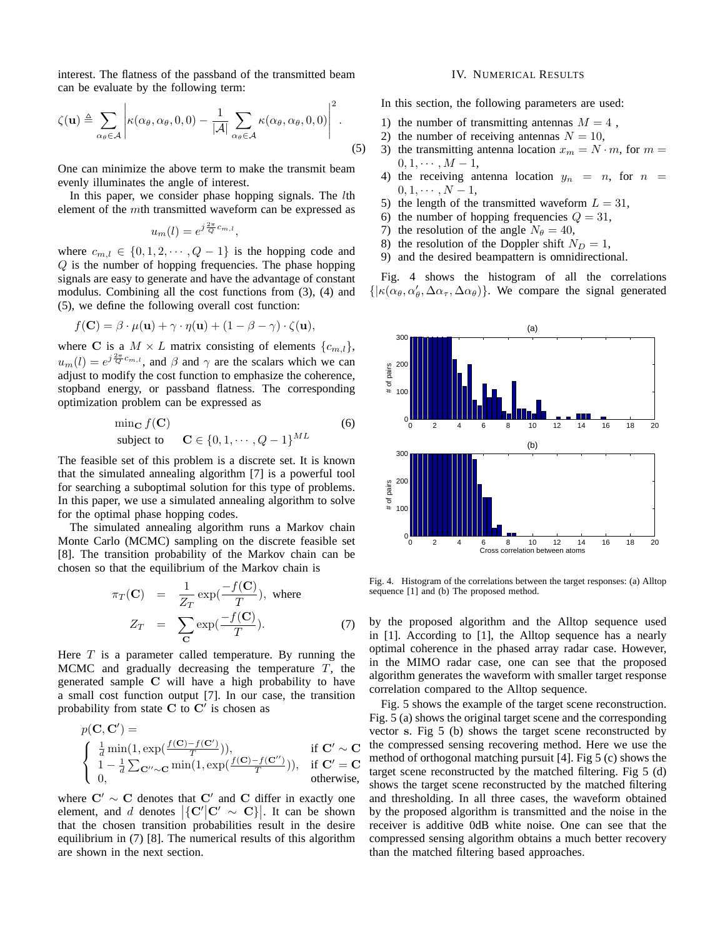interest. The flatness of the passband of the transmitted beam can be evaluate by the following term:

$$
\zeta(\mathbf{u}) \triangleq \sum_{\alpha_{\theta} \in \mathcal{A}} \left| \kappa(\alpha_{\theta}, \alpha_{\theta}, 0, 0) - \frac{1}{|\mathcal{A}|} \sum_{\alpha_{\theta} \in \mathcal{A}} \kappa(\alpha_{\theta}, \alpha_{\theta}, 0, 0) \right|^2.
$$
 (5)

One can minimize the above term to make the transmit beam evenly illuminates the angle of interest.

In this paper, we consider phase hopping signals. The *lth* element of the mth transmitted waveform can be expressed as

$$
u_m(l) = e^{j\frac{2\pi}{Q}c_{m,l}},
$$

where  $c_{m,l} \in \{0, 1, 2, \dots, Q-1\}$  is the hopping code and Q is the number of hopping frequencies. The phase hopping signals are easy to generate and have the advantage of constant modulus. Combining all the cost functions from (3), (4) and (5), we define the following overall cost function:

$$
f(\mathbf{C}) = \beta \cdot \mu(\mathbf{u}) + \gamma \cdot \eta(\mathbf{u}) + (1 - \beta - \gamma) \cdot \zeta(\mathbf{u}),
$$

where **C** is a  $M \times L$  matrix consisting of elements  $\{c_{m,l}\},\$  $u_m(l) = e^{j\frac{2\pi}{Q}c_{m,l}}$ , and  $\beta$  and  $\gamma$  are the scalars which we can adjust to modify the cost function to emphasize the coherence, stopband energy, or passband flatness. The corresponding optimization problem can be expressed as

$$
\min_{\mathbf{C}} f(\mathbf{C})
$$
  
subject to 
$$
\mathbf{C} \in \{0, 1, \cdots, Q - 1\}^{ML}
$$
 (6)

The feasible set of this problem is a discrete set. It is known that the simulated annealing algorithm [7] is a powerful tool for searching a suboptimal solution for this type of problems. In this paper, we use a simulated annealing algorithm to solve for the optimal phase hopping codes.

The simulated annealing algorithm runs a Markov chain Monte Carlo (MCMC) sampling on the discrete feasible set [8]. The transition probability of the Markov chain can be chosen so that the equilibrium of the Markov chain is

$$
\pi_T(\mathbf{C}) = \frac{1}{Z_T} \exp(\frac{-f(\mathbf{C})}{T}), \text{ where}
$$

$$
Z_T = \sum_{\mathbf{C}} \exp(\frac{-f(\mathbf{C})}{T}). \tag{7}
$$

Here  $T$  is a parameter called temperature. By running the MCMC and gradually decreasing the temperature  $T$ , the generated sample **C** will have a high probability to have a small cost function output [7]. In our case, the transition probability from state  $C$  to  $C'$  is chosen as

$$
p(\mathbf{C}, \mathbf{C}') = \begin{cases} \frac{1}{d} \min(1, \exp(\frac{f(\mathbf{C}) - f(\mathbf{C}')}{T})), & \text{if } \mathbf{C}' \sim \mathbf{C} \\ 1 - \frac{1}{d} \sum_{\mathbf{C}'' \sim \mathbf{C}} \min(1, \exp(\frac{f(\mathbf{C}) - f(\mathbf{C}''))}{T})), & \text{if } \mathbf{C}' = \mathbf{C} \\ 0, & \text{otherwise,} \end{cases}
$$

where  $C' \sim C$  denotes that  $C'$  and C differ in exactly one element, and d denotes  ${C' \mid C' \sim C}$ . It can be shown that the chosen transition probabilities result in the desire equilibrium in (7) [8]. The numerical results of this algorithm are shown in the next section.

#### IV. NUMERICAL RESULTS

In this section, the following parameters are used:

- 1) the number of transmitting antennas  $M = 4$ ,
- 2) the number of receiving antennas  $N = 10$ ,
- 3) the transmitting antenna location  $x_m = N \cdot m$ , for  $m =$  $0, 1, \cdots, M-1,$
- 4) the receiving antenna location  $y_n = n$ , for  $n =$  $0, 1, \cdots, N-1,$
- 5) the length of the transmitted waveform  $L = 31$ ,
- 6) the number of hopping frequencies  $Q = 31$ ,
- 7) the resolution of the angle  $N_\theta = 40$ ,
- 8) the resolution of the Doppler shift  $N_D = 1$ ,
- 9) and the desired beampattern is omnidirectional.

Fig. 4 shows the histogram of all the correlations  $\{|\kappa(\alpha_{\theta}, \alpha_{\theta}', \Delta \alpha_{\tau}, \Delta \alpha_{\theta})\}$ . We compare the signal generated



Fig. 4. Histogram of the correlations between the target responses: (a) Alltop sequence [1] and (b) The proposed method.

by the proposed algorithm and the Alltop sequence used in [1]. According to [1], the Alltop sequence has a nearly optimal coherence in the phased array radar case. However, in the MIMO radar case, one can see that the proposed algorithm generates the waveform with smaller target response correlation compared to the Alltop sequence.

Fig. 5 shows the example of the target scene reconstruction. Fig. 5 (a) shows the original target scene and the corresponding vector **s**. Fig 5 (b) shows the target scene reconstructed by the compressed sensing recovering method. Here we use the method of orthogonal matching pursuit [4]. Fig 5 (c) shows the target scene reconstructed by the matched filtering. Fig 5 (d) shows the target scene reconstructed by the matched filtering and thresholding. In all three cases, the waveform obtained by the proposed algorithm is transmitted and the noise in the receiver is additive 0dB white noise. One can see that the compressed sensing algorithm obtains a much better recovery than the matched filtering based approaches.